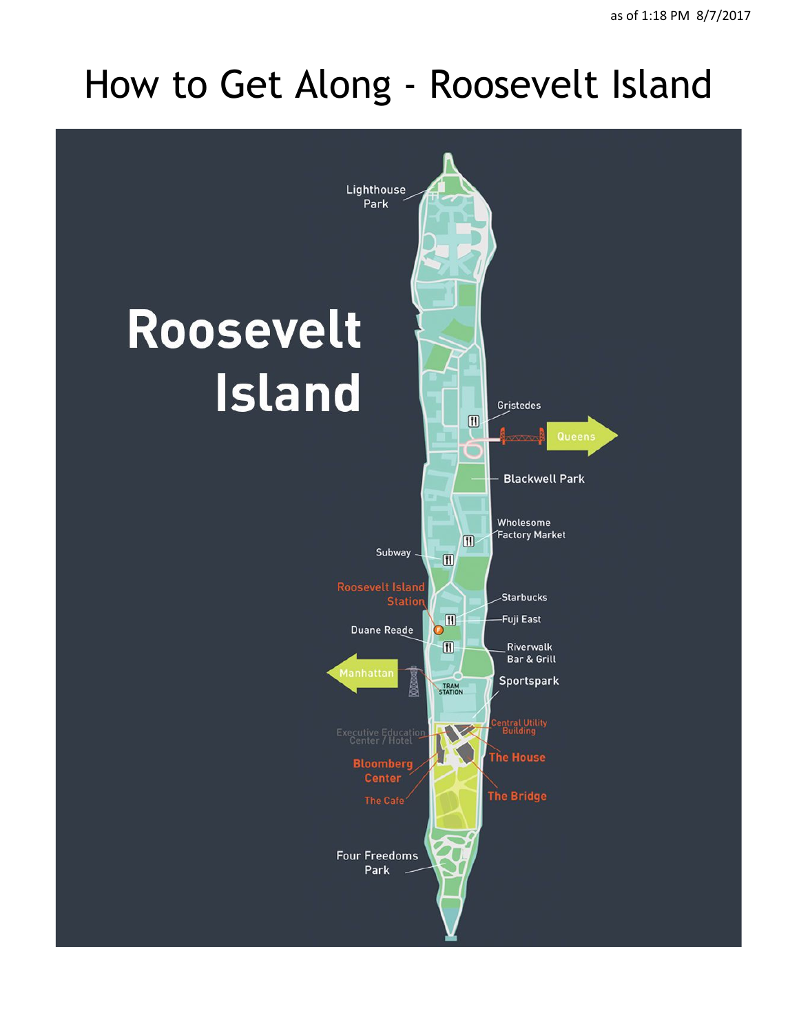## How to Get Along - Roosevelt Island

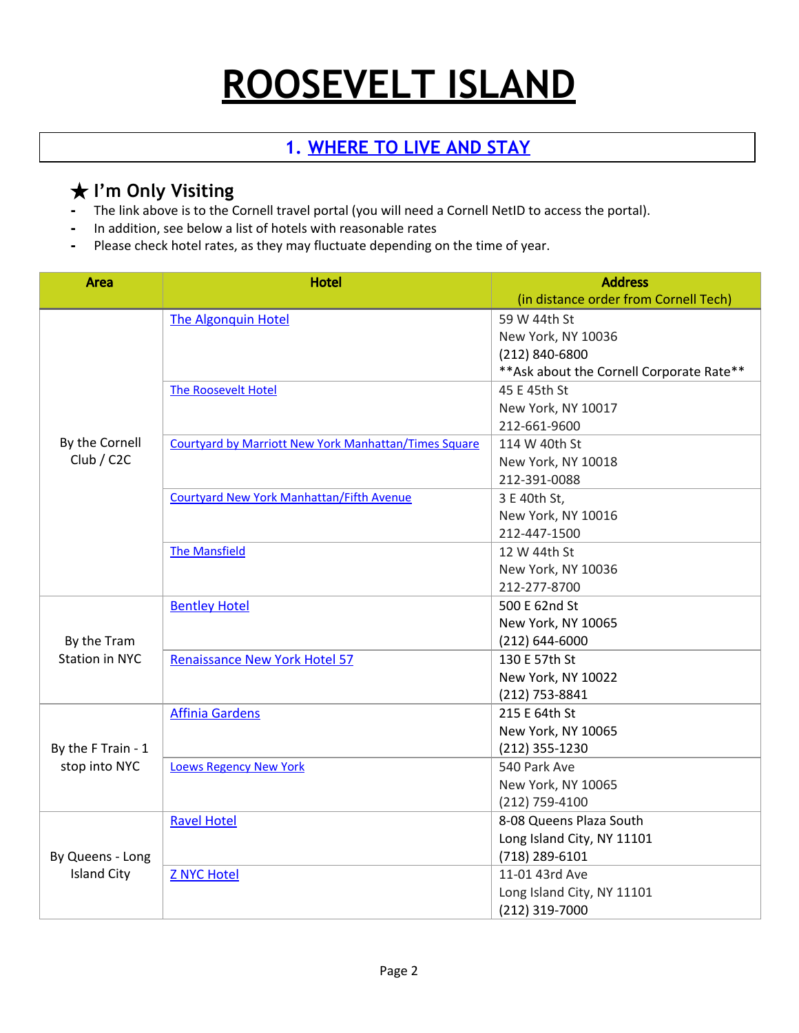# **ROOSEVELT ISLAND**

## **1. [WHERE](https://www.dfa.cornell.edu/travel) TO LIVE AND STAY**

## **★ I'm Only Visiting**<br>Find link above is to the Q

- **-** The link above is to the Cornell travel portal (you will need a Cornell NetID to access the portal).
- **-** In addition, see below a list of hotels with reasonable rates
- **-** Please check hotel rates, as they may fluctuate depending on the time of year.

| <b>Area</b>                            | <b>Hotel</b>                                                 | <b>Address</b>                            |
|----------------------------------------|--------------------------------------------------------------|-------------------------------------------|
|                                        |                                                              | (in distance order from Cornell Tech)     |
| By the Cornell<br>Club / C2C           | <b>The Algonquin Hotel</b>                                   | 59 W 44th St                              |
|                                        |                                                              | New York, NY 10036                        |
|                                        |                                                              | (212) 840-6800                            |
|                                        |                                                              | ** Ask about the Cornell Corporate Rate** |
|                                        | <b>The Roosevelt Hotel</b>                                   | 45 E 45th St                              |
|                                        |                                                              | New York, NY 10017                        |
|                                        |                                                              | 212-661-9600                              |
|                                        | <b>Courtyard by Marriott New York Manhattan/Times Square</b> | 114 W 40th St                             |
|                                        |                                                              | New York, NY 10018                        |
|                                        |                                                              | 212-391-0088                              |
|                                        | <b>Courtyard New York Manhattan/Fifth Avenue</b>             | 3 E 40th St,                              |
|                                        |                                                              | New York, NY 10016                        |
|                                        |                                                              | 212-447-1500                              |
|                                        | <b>The Mansfield</b>                                         | 12 W 44th St                              |
|                                        |                                                              | New York, NY 10036                        |
|                                        |                                                              | 212-277-8700                              |
| By the Tram<br><b>Station in NYC</b>   | <b>Bentley Hotel</b>                                         | 500 E 62nd St                             |
|                                        |                                                              | New York, NY 10065                        |
|                                        |                                                              | $(212) 644 - 6000$                        |
|                                        | <b>Renaissance New York Hotel 57</b>                         | 130 E 57th St                             |
|                                        |                                                              | New York, NY 10022                        |
|                                        |                                                              | (212) 753-8841                            |
| By the F Train - 1<br>stop into NYC    | <b>Affinia Gardens</b>                                       | 215 E 64th St                             |
|                                        |                                                              | New York, NY 10065                        |
|                                        |                                                              | (212) 355-1230                            |
|                                        | <b>Loews Regency New York</b>                                | 540 Park Ave                              |
|                                        |                                                              | New York, NY 10065                        |
|                                        |                                                              | $(212)$ 759-4100                          |
| By Queens - Long<br><b>Island City</b> | <b>Ravel Hotel</b>                                           | 8-08 Queens Plaza South                   |
|                                        |                                                              | Long Island City, NY 11101                |
|                                        |                                                              | (718) 289-6101                            |
|                                        | <b>Z NYC Hotel</b>                                           | 11-01 43rd Ave                            |
|                                        |                                                              | Long Island City, NY 11101                |
|                                        |                                                              | (212) 319-7000                            |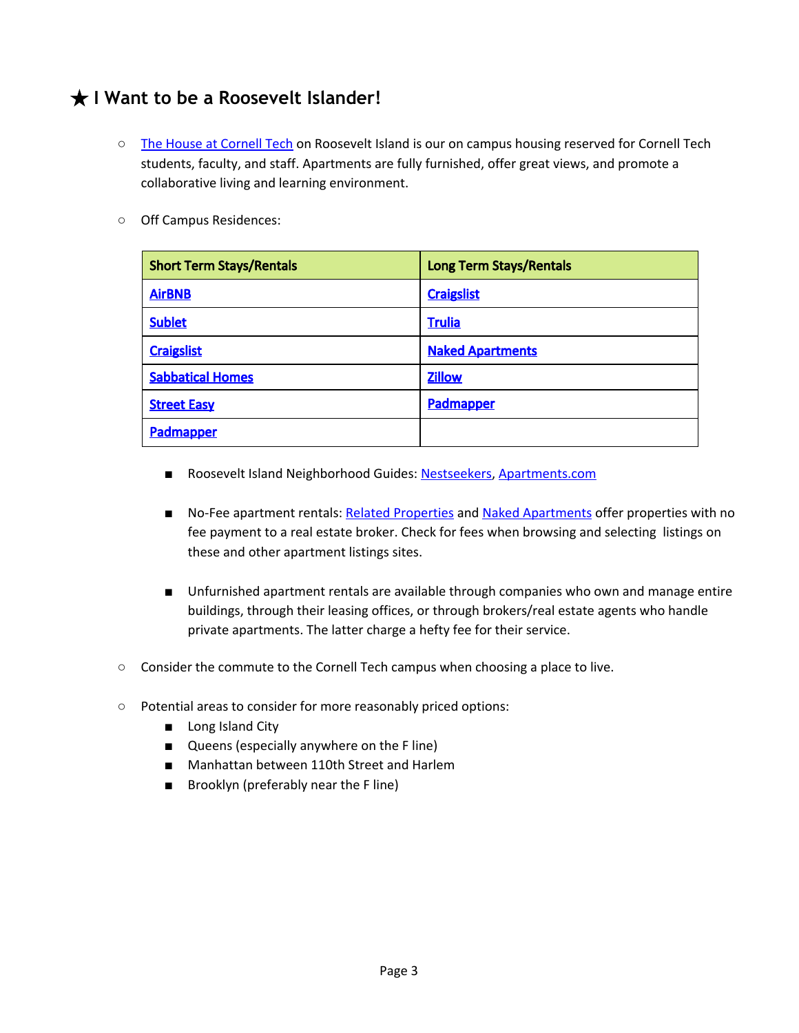## ★ **I Want to be a Roosevelt Islander!**

- **○** The House at [Cornell](http://thehouseatcornelltech.com/) Tech on Roosevelt Island is our on campus housing reserved for Cornell Tech students, faculty, and staff. Apartments are fully furnished, offer great views, and promote a collaborative living and learning environment.
- Off Campus Residences:

| <b>Short Term Stays/Rentals</b> | <b>Long Term Stays/Rentals</b> |
|---------------------------------|--------------------------------|
| <b>AirBNB</b>                   | <b>Craigslist</b>              |
| <b>Sublet</b>                   | <b>Trulia</b>                  |
| <b>Craigslist</b>               | <b>Naked Apartments</b>        |
| <b>Sabbatical Homes</b>         | <b>Zillow</b>                  |
| <b>Street Easy</b>              | Padmapper                      |
| Padmapper                       |                                |

- Roosevelt Island Neighborhood Guides: [Nestseekers,](https://www.nestseekers.com/Guides/Neighborhood/Roosevelt_Island) [Apartments.com](https://www.apartments.com/local/roosevelt-island-new-york-ny/)
- No-Fee apartment rentals: Related [Properties](http://www.relatedrentals.com/apartment-rentals/new-york-city/roosevelt-island) and Naked [Apartments](https://www.nakedapartments.com/nyc/roosevelt-island-apartments-for-rent) offer properties with no fee payment to a real estate broker. Check for fees when browsing and selecting listings on these and other apartment listings sites.
- Unfurnished apartment rentals are available through companies who own and manage entire buildings, through their leasing offices, or through brokers/real estate agents who handle private apartments. The latter charge a hefty fee for their service.
- Consider the commute to the Cornell Tech campus when choosing a place to live.
- Potential areas to consider for more reasonably priced options:
	- Long Island City
	- Queens (especially anywhere on the F line)
	- Manhattan between 110th Street and Harlem
	- Brooklyn (preferably near the F line)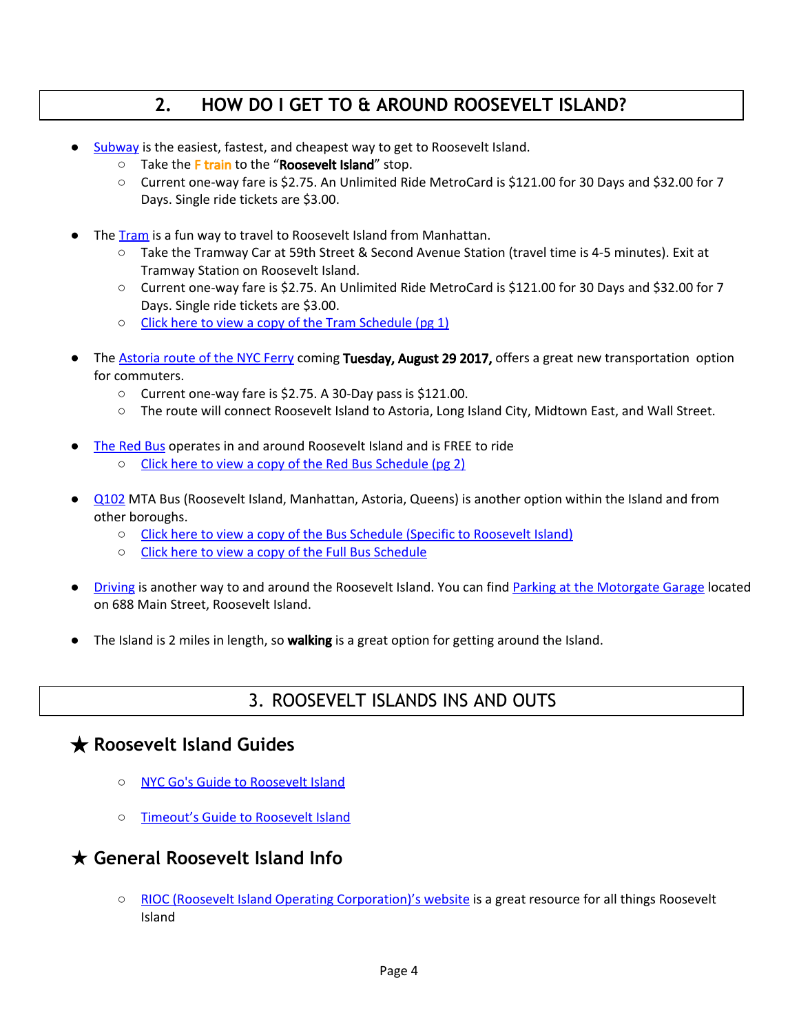## **2. HOW DO I GET TO & AROUND ROOSEVELT ISLAND?**

- [Subway](http://web.mta.info/maps/submap.html) is the easiest, fastest, and cheapest way to get to Roosevelt Island.
	- Take the F train to the "Roosevelt Island" stop.
	- Current one-way fare is \$2.75. An Unlimited Ride MetroCard is \$121.00 for 30 Days and \$32.00 for 7 Days. Single ride tickets are \$3.00.
- The [Tram](https://rioc.ny.gov/tramtransportation.htm) is a fun way to travel to Roosevelt Island from Manhattan.
	- Take the Tramway Car at 59th Street & Second Avenue Station (travel time is 4-5 minutes). Exit at Tramway Station on Roosevelt Island.
	- Current one-way fare is \$2.75. An Unlimited Ride MetroCard is \$121.00 for 30 Days and \$32.00 for 7 Days. Single ride tickets are \$3.00.
	- Click here to view a copy of the Tram [Schedule](https://rioc.ny.gov/pdf/TramBusSched.pdf) (pg 1)
- The **[Astoria](https://www.ferry.nyc/routes-and-schedules/route/astoria/) route of the NYC Ferry coming Tuesday, August 29 2017,** offers a great new transportation option for commuters.
	- Current one-way fare is \$2.75. A 30-Day pass is \$121.00.
	- The route will connect Roosevelt Island to Astoria, Long Island City, Midtown East, and Wall Street.
- The [Red](https://rioc.ny.gov/bustransportation.htm) Bus operates in and around Roosevelt Island and is FREE to ride
	- Click here to view a copy of the Red Bus [Schedule](https://rioc.ny.gov/pdf/TramBusSched.pdf) (pg 2)
- [Q102](https://bustime.mta.info/m/?q=Q102) MTA Bus (Roosevelt Island, Manhattan, Astoria, Queens) is another option within the Island and from other boroughs.
	- Click here to view a copy of the Bus Schedule (Specific to [Roosevelt](https://rioc.ny.gov/pdf/SouthtownBusRoute.pdf) Island)
	- Click here to view a copy of the Full Bus [Schedule](http://web.mta.info/busco/schedules/q102cur.pdf)
- [Driving](https://rioc.ny.gov/transportation.htm#directions-by-car) is another way to and around the Roosevelt Island. You can find Parking at the [Motorgate](https://rioc.ny.gov/parking.htm) Garage located on 688 Main Street, Roosevelt Island.
- The Island is 2 miles in length, so **walking** is a great option for getting around the Island.

## 3. ROOSEVELT ISLANDS INS AND OUTS

### ★ **Roosevelt Island Guides**

- NYC Go's Guide to [Roosevelt](http://www.nycgo.com/venues/roosevelt-island) Island
- [Timeout's](https://www.timeout.com/newyork/manhattan/roosevelt-island-nyc) Guide to Roosevelt Island

### ★ **General Roosevelt Island Info**

○ RIOC (Roosevelt Island Operating [Corporation\)'s](https://rioc.ny.gov/) website is a great resource for all things Roosevelt Island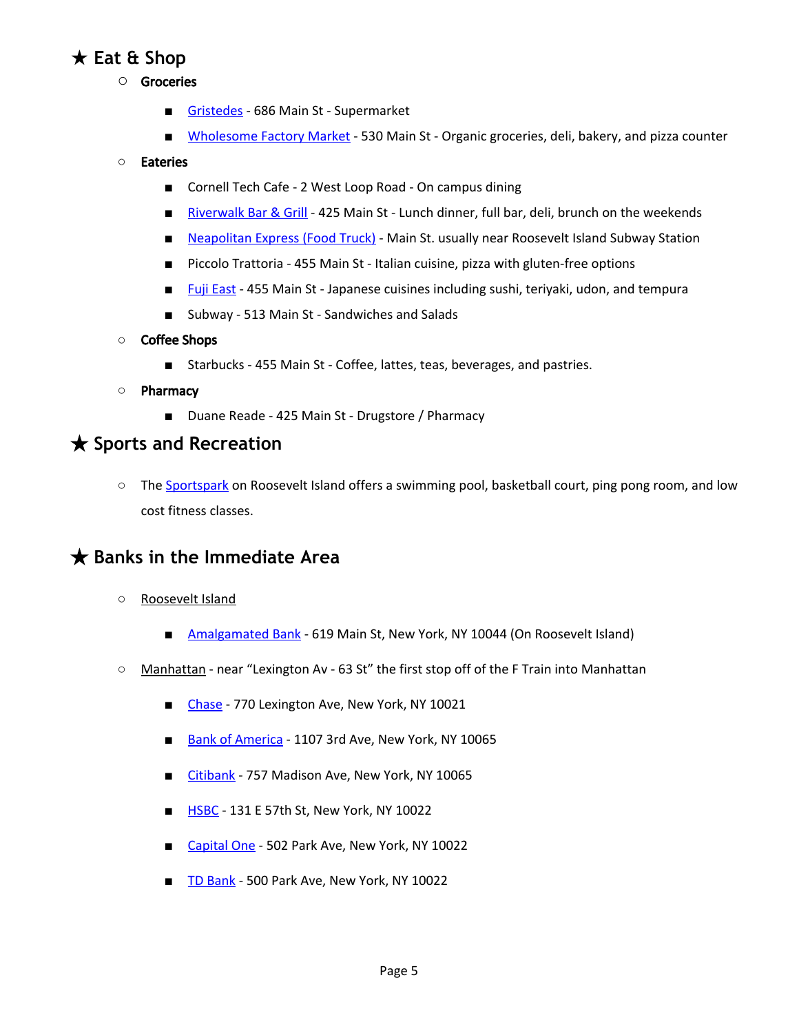## ★ **Eat & Shop**

- **○** Groceries
	- [Gristedes](http://www.gristedes.com/) 686 Main St Supermarket
	- [Wholesome](http://www.wholesomefactorynyc.com/) Factory Market 530 Main St Organic groceries, deli, bakery, and pizza counter

#### ○ Eateries

- Cornell Tech Cafe 2 West Loop Road On campus dining
- [Riverwalk](http://www.riverwalkbarandgrill.com/dinner-entree-menu/) Bar & Grill 425 Main St Lunch dinner, full bar, deli, brunch on the weekends
- [Neapolitan](http://www.neapolitanexpress.com/) Express (Food Truck) Main St. usually near Roosevelt Island Subway Station
- Piccolo Trattoria 455 Main St Italian cuisine, pizza with gluten-free options
- Fuji [East](http://www.fujieast.com/) 455 Main St Japanese cuisines including sushi, teriyaki, udon, and tempura
- Subway 513 Main St Sandwiches and Salads
- **○** Coffee Shops
	- Starbucks 455 Main St Coffee, lattes, teas, beverages, and pastries.

#### **○** Pharmacy

■ Duane Reade - 425 Main St - Drugstore / Pharmacy

#### ★ **Sports and Recreation**

○ The [Sportspark](https://rioc.ny.gov/Sportspark.htm) on Roosevelt Island offers a swimming pool, basketball court, ping pong room, and low cost fitness classes.

### ★ **Banks in the Immediate Area**

- **○** Roosevelt Island
	- [Amalgamated](https://www.amalgamatedbank.com/) Bank 619 Main St, New York, NY 10044 (On Roosevelt Island)
- Manhattan near "Lexington Av 63 St" the first stop off of the F Train into Manhattan
	- [Chase](http://www.chase.com/) 770 Lexington Ave, New York, NY 10021
	- Bank of [America](http://www.bankofamerica.com/) 1107 3rd Ave, New York, NY 10065
	- [Citibank](http://www.citibank.com/) 757 Madison Ave, New York, NY 10065
	- [HSBC](http://www.hsbc.com/) 131 E 57th St, New York, NY 10022
	- [Capital](http://www.capitalone.com/) One 502 Park Ave, New York, NY 10022
	- TD [Bank](http://www.tdbank.com/) 500 Park Ave, New York, NY 10022